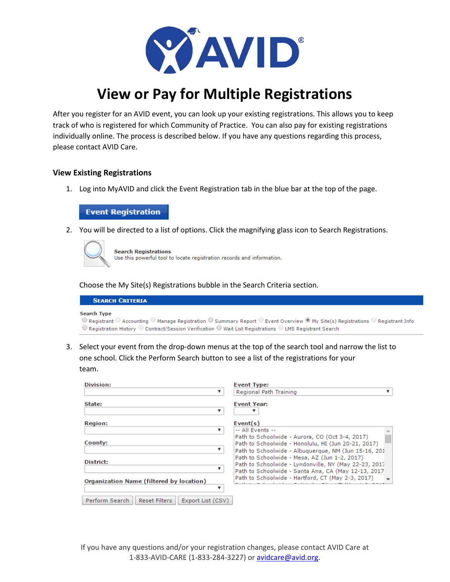

# **View or Pay for Multiple Registrations**

After you register for an AVID event, you can look up your existing registrations. This allows you to keep track of who is registered for which Community of Practice. You can also pay for existing registrations individually online. The process is described below. If you have any questions regarding this process, please contact AVID Care.

### **View Existing Registrations**

1. Log into MyAVID and click the Event Registration tab in the blue bar at the top of the page.

## **Event Registration**

2. You will be directed to a list of options. Click the magnifying glass icon to Search Registrations.



**Search Registrations** Use this powerful tool to locate registration records and information.

Choose the My Site(s) Registrations bubble in the Search Criteria section.

| <b>SEARCH CRITERIA</b>                                                                                                                                                   |
|--------------------------------------------------------------------------------------------------------------------------------------------------------------------------|
| Search Type                                                                                                                                                              |
| $\odot$ Registrant $\odot$ Accounting $\odot$ Manage Registration $\odot$ Summary Report $\odot$ Event Overview $\odot$ My Site(s) Registrations $\odot$ Registrant Info |
| $\odot$ Registration History $\odot$ Contract/Session Verification $\odot$ Wait List Registrations $\odot$ LMS Registrant Search                                         |

3. Select your event from the drop-down menus at the top of the search tool and narrow the list to one school. Click the Perform Search button to see a list of the registrations for your team.

| Division:                                                   | <b>Event Type:</b>                                                                                                                                              |
|-------------------------------------------------------------|-----------------------------------------------------------------------------------------------------------------------------------------------------------------|
|                                                             | Regional Path Training                                                                                                                                          |
| State:<br>v                                                 | <b>Event Year:</b>                                                                                                                                              |
| <b>Region:</b>                                              | Event(s)                                                                                                                                                        |
|                                                             | -- All Fyents --                                                                                                                                                |
| County:<br>▼                                                | Path to Schoolwide - Aurora, CO (Oct 3-4, 2017)<br>Path to Schoolwide - Honolulu, HI (Jun 20-21, 2017)<br>Path to Schoolwide - Albuquerque, NM (Jun 15-16, 201  |
| District:                                                   | Path to Schoolwide - Mesa, AZ (Jun 1-2, 2017)<br>Path to Schoolwide - Lyndonville, NY (May 22-23, 2017)<br>Path to Schoolwide - Santa Ana, CA (May 12-13, 2017) |
| <b>Organization Name (filtered by location)</b>             | Path to Schoolwide - Hartford, CT (May 2-3, 2017)                                                                                                               |
| Perform Search<br><b>Reset Filters</b><br>Export List (CSV) |                                                                                                                                                                 |

If you have any questions and/or your registration changes, please contact AVID Care at 1-833-AVID-CARE (1-833-284-3227) o[r avidcare@avid.org.](mailto:avidcare@avid.org)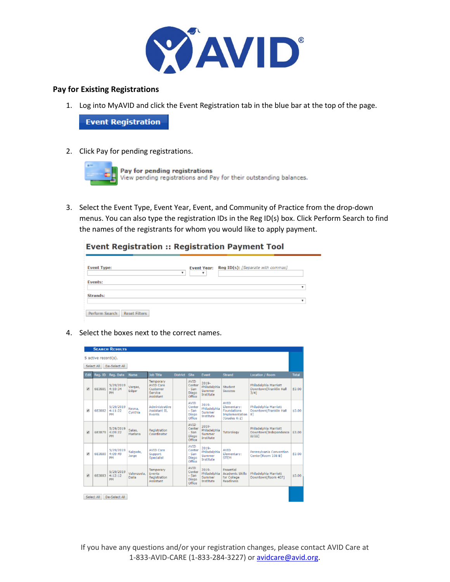

### **Pay for Existing Registrations**

1. Log into MyAVID and click the Event Registration tab in the blue bar at the top of the page.

**Event Registration** 

2. Click Pay for pending registrations.



3. Select the Event Type, Event Year, Event, and Community of Practice from the drop-down menus. You can also type the registration IDs in the Reg ID(s) box. Click Perform Search to find the names of the registrants for whom you would like to apply payment.

**Event Registration :: Registration Payment Tool** 

| <b>Event Type:</b><br>۰                | ٠ | Event Year: Reg ID(s): [Separate with commas] |
|----------------------------------------|---|-----------------------------------------------|
| <b>Events:</b>                         |   |                                               |
| Strands:                               |   | ۰                                             |
| Perform Search<br><b>Reset Filters</b> |   |                                               |

4. Select the boxes next to the correct names.

|      |                                   | <b>SEARCH RESULTS</b>             |                      |                                                                   |                 |                                                     |                                              |                                                                             |                                                         |              |
|------|-----------------------------------|-----------------------------------|----------------------|-------------------------------------------------------------------|-----------------|-----------------------------------------------------|----------------------------------------------|-----------------------------------------------------------------------------|---------------------------------------------------------|--------------|
|      | 5 active record(s).<br>Select All | De-Select All                     |                      |                                                                   |                 |                                                     |                                              |                                                                             |                                                         |              |
|      |                                   |                                   |                      | <b>Job Title</b>                                                  | <b>District</b> | Site                                                | Event                                        | <b>Strand</b>                                                               |                                                         | <b>Total</b> |
| Edit | Reg. ID                           | Reg. Date                         | <b>Name</b>          |                                                                   |                 |                                                     |                                              |                                                                             | <b>Location / Room</b>                                  |              |
| ø    | 683881                            | 5/29/2019<br>4:10:34<br><b>DM</b> | Vargas,<br>Edgar     | Temporary<br><b>AVID Care</b><br>Customer<br>Service<br>Assistant |                 | AVID<br>Center<br>- San<br>Diego<br>Office          | 2019-<br>Philadelphia<br>Summer<br>Institute | Student<br><b>Success</b>                                                   | Philadelphia Marriott<br>Downtown[Franklin Hall<br>3/41 | \$3.00       |
| W)   | 683882                            | 5/29/2019<br>4:11:22<br><b>DM</b> | Reyna.<br>Cynthia    | Administrative<br>Assistant II.<br>Events                         |                 | <b>AVID</b><br>Center<br>$-$ San<br>Diego<br>Office | 2019.<br>Philadelphia<br>Summer<br>Institute | <b>AVID</b><br>Elementary:<br>Foundations<br>Implementation<br>(Grades K-2) | Philadelphia Marriott<br>Downtown[Franklin Hall<br>81   | \$3.00       |
| W)   | 683879                            | 5/29/2019<br>4:09:22<br>PM        | Salas,<br>Mariana    | Registration<br>Coordinator                                       |                 | AVID<br>Center<br>$-$ San<br>Diego<br>Office        | 2019-<br>Philadelphia<br>Summer<br>Institute | Tutorology                                                                  | Philadelphia Marriott<br>Downtown[Independence<br>нлит  | \$3.00       |
| Ñ,   | 683880                            | 5/29/2019<br>4:09:49<br>PM        | Salgado,<br>Jorge    | <b>AVID Care</b><br>Support<br>Specialist                         |                 | <b>AVID</b><br>Center<br>- San<br>Diego<br>Office   | 2019-<br>Philadelphia<br>Summer<br>Institute | <b>AVID</b><br>Elementary:<br><b>STEM</b>                                   | Pennsylvania Convention<br>Center[Room 108 B]           | \$3.00       |
| 团    | 683883                            | 5/29/2019<br>4:12:12<br><b>PM</b> | Valenzuela.<br>Dalia | Temporary<br>Events<br>Registration<br>Assistant                  |                 | AVID<br>Center<br>$-$ San<br>Diego<br>Office        | 2019-<br>Philadelphia<br>Summer<br>Institute | Essential<br><b>Academic Skills</b><br>for College<br>Readiness             | Philadelphia Marriott<br>Downtown[Room 407]             | \$3.00       |
|      | <b>Select All</b>                 | De-Select All                     |                      |                                                                   |                 |                                                     |                                              |                                                                             |                                                         |              |